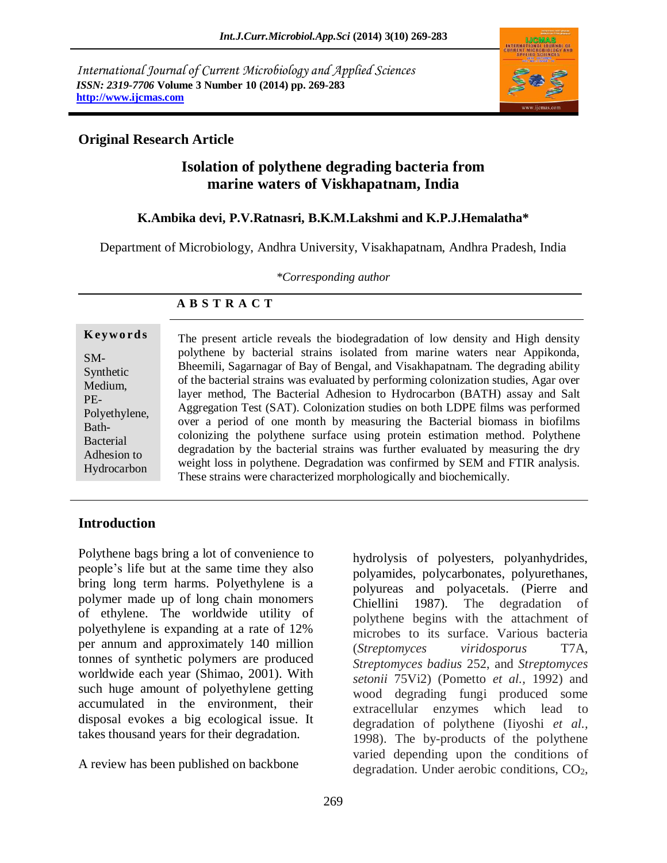*International Journal of Current Microbiology and Applied Sciences ISSN: 2319-7706* **Volume 3 Number 10 (2014) pp. 269-283 http://www.ijcmas.com**



### **Original Research Article**

# **Isolation of polythene degrading bacteria from marine waters of Viskhapatnam, India**

#### **K.Ambika devi, P.V.Ratnasri, B.K.M.Lakshmi and K.P.J.Hemalatha\***

Department of Microbiology, Andhra University, Visakhapatnam, Andhra Pradesh, India

*\*Corresponding author*

#### **K ey w o rd s** SM-Synthetic Medium, PE-Polyethylene, Bath-**Bacterial** Adhesion to Hydrocarbon

The present article reveals the biodegradation of low density and High density polythene by bacterial strains isolated from marine waters near Appikonda, Bheemili, Sagarnagar of Bay of Bengal, and Visakhapatnam. The degrading ability of the bacterial strains was evaluated by performing colonization studies, Agar over layer method, The Bacterial Adhesion to Hydrocarbon (BATH) assay and Salt Aggregation Test (SAT). Colonization studies on both LDPE films was performed over a period of one month by measuring the Bacterial biomass in biofilms colonizing the polythene surface using protein estimation method. Polythene degradation by the bacterial strains was further evaluated by measuring the dry weight loss in polythene. Degradation was confirmed by SEM and FTIR analysis. These strains were characterized morphologically and biochemically.

# **Introduction**

Polythene bags bring a lot of convenience to people's life but at the same time they also bring long term harms. Polyethylene is a polymer made up of long chain monomers of ethylene. The worldwide utility of polyethylene is expanding at a rate of 12% per annum and approximately 140 million tonnes of synthetic polymers are produced worldwide each year (Shimao, 2001). With such huge amount of polyethylene getting accumulated in the environment, their disposal evokes a big ecological issue. It takes thousand years for their degradation.

A review has been published on backbone

hydrolysis of polyesters, polyanhydrides, polyamides, polycarbonates, polyurethanes, polyureas and polyacetals. (Pierre and Chiellini 1987). The degradation of polythene begins with the attachment of microbes to its surface. Various bacteria (*Streptomyces viridosporus* T7A, *Streptomyces badius* 252, and *Streptomyces setonii* 75Vi2) (Pometto *et al.,* 1992) and wood degrading fungi produced some extracellular enzymes which lead to degradation of polythene (Iiyoshi *et al.,* 1998). The by-products of the polythene varied depending upon the conditions of degradation. Under aerobic conditions,  $CO<sub>2</sub>$ ,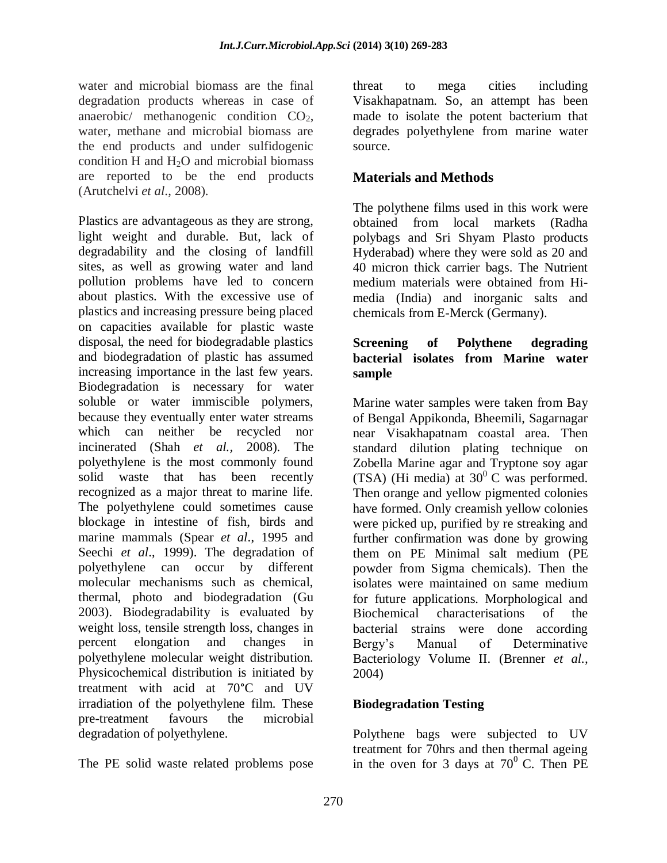water and microbial biomass are the final degradation products whereas in case of anaerobic/ methanogenic condition  $CO<sub>2</sub>$ , water, methane and microbial biomass are the end products and under sulfidogenic condition H and  $H_2O$  and microbial biomass are reported to be the end products (Arutchelvi *et al*., 2008).

Plastics are advantageous as they are strong, light weight and durable. But, lack of degradability and the closing of landfill sites, as well as growing water and land pollution problems have led to concern about plastics. With the excessive use of plastics and increasing pressure being placed on capacities available for plastic waste disposal, the need for biodegradable plastics and biodegradation of plastic has assumed increasing importance in the last few years. Biodegradation is necessary for water soluble or water immiscible polymers, because they eventually enter water streams which can neither be recycled nor incinerated (Shah *et al.,* 2008). The polyethylene is the most commonly found solid waste that has been recently recognized as a major threat to marine life. The polyethylene could sometimes cause blockage in intestine of fish, birds and marine mammals (Spear *et al*., 1995 and Seechi *et al*., 1999). The degradation of polyethylene can occur by different molecular mechanisms such as chemical, thermal, photo and biodegradation (Gu 2003). Biodegradability is evaluated by weight loss, tensile strength loss, changes in percent elongation and changes in polyethylene molecular weight distribution. Physicochemical distribution is initiated by treatment with acid at 70°C and UV irradiation of the polyethylene film. These pre-treatment favours the microbial degradation of polyethylene.

The PE solid waste related problems pose

threat to mega cities including Visakhapatnam. So, an attempt has been made to isolate the potent bacterium that degrades polyethylene from marine water source.

# **Materials and Methods**

The polythene films used in this work were obtained from local markets (Radha polybags and Sri Shyam Plasto products Hyderabad) where they were sold as 20 and 40 micron thick carrier bags. The Nutrient medium materials were obtained from Himedia (India) and inorganic salts and chemicals from E-Merck (Germany).

#### **Screening of Polythene degrading bacterial isolates from Marine water sample**

Marine water samples were taken from Bay of Bengal Appikonda, Bheemili, Sagarnagar near Visakhapatnam coastal area. Then standard dilution plating technique on Zobella Marine agar and Tryptone soy agar (TSA) (Hi media) at  $30^{\circ}$  C was performed. Then orange and yellow pigmented colonies have formed. Only creamish yellow colonies were picked up, purified by re streaking and further confirmation was done by growing them on PE Minimal salt medium (PE powder from Sigma chemicals). Then the isolates were maintained on same medium for future applications. Morphological and Biochemical characterisations of the bacterial strains were done according Bergy's Manual of Determinative Bacteriology Volume II. (Brenner *et al.,*  2004)

## **Biodegradation Testing**

Polythene bags were subjected to UV treatment for 70hrs and then thermal ageing in the oven for 3 days at  $70^{\circ}$  C. Then PE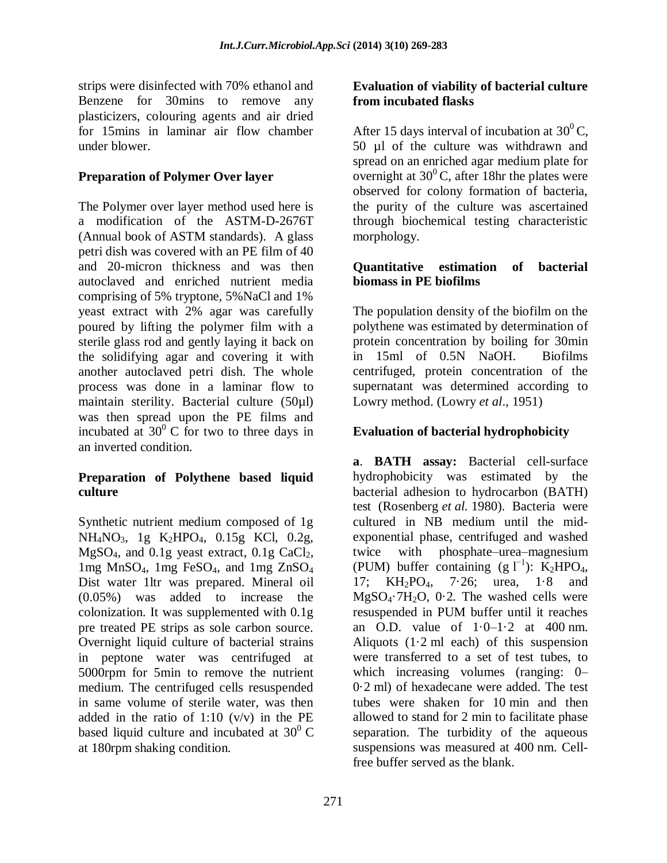strips were disinfected with 70% ethanol and Benzene for 30mins to remove any plasticizers, colouring agents and air dried for 15mins in laminar air flow chamber under blower.

### **Preparation of Polymer Over layer**

The Polymer over layer method used here is a modification of the ASTM-D-2676T (Annual book of ASTM standards). A glass petri dish was covered with an PE film of 40 and 20-micron thickness and was then autoclaved and enriched nutrient media comprising of 5% tryptone, 5%NaCl and 1% yeast extract with 2% agar was carefully poured by lifting the polymer film with a sterile glass rod and gently laying it back on the solidifying agar and covering it with another autoclaved petri dish. The whole process was done in a laminar flow to maintain sterility. Bacterial culture (50µl) was then spread upon the PE films and incubated at  $30^{\circ}$  C for two to three days in an inverted condition.

#### **Preparation of Polythene based liquid culture**

Synthetic nutrient medium composed of 1g NH<sub>4</sub>NO<sub>3</sub>, 1g K<sub>2</sub>HPO<sub>4</sub>, 0.15g KCl, 0.2g,  $MgSO<sub>4</sub>$ , and 0.1g yeast extract, 0.1g CaCl<sub>2</sub>, 1mg MnSO4, 1mg FeSO4, and 1mg ZnSO<sup>4</sup> Dist water 1ltr was prepared. Mineral oil (0.05%) was added to increase the colonization. It was supplemented with 0.1g pre treated PE strips as sole carbon source. Overnight liquid culture of bacterial strains in peptone water was centrifuged at 5000rpm for 5min to remove the nutrient medium. The centrifuged cells resuspended in same volume of sterile water, was then added in the ratio of  $1:10 \, (v/v)$  in the PE based liquid culture and incubated at  $30^0$  C at 180rpm shaking condition.

### **Evaluation of viability of bacterial culture from incubated flasks**

After 15 days interval of incubation at  $30^0$ C, 50 µl of the culture was withdrawn and spread on an enriched agar medium plate for overnight at  $30^{\circ}$ C, after 18hr the plates were observed for colony formation of bacteria, the purity of the culture was ascertained through biochemical testing characteristic morphology.

#### **Quantitative estimation of bacterial biomass in PE biofilms**

The population density of the biofilm on the polythene was estimated by determination of protein concentration by boiling for 30min in 15ml of 0.5N NaOH. Biofilms centrifuged, protein concentration of the supernatant was determined according to Lowry method. (Lowry *et al*., 1951)

## **Evaluation of bacterial hydrophobicity**

**a**. **BATH assay:** Bacterial cell-surface hydrophobicity was estimated by the bacterial adhesion to hydrocarbon (BATH) test [\(Rosenberg](http://onlinelibrary.wiley.com/doi/10.1111/j.1365-2672.2005.02553.x/full#b20) *et al.* 1980). Bacteria were cultured in NB medium until the midexponential phase, centrifuged and washed twice with phosphate–urea–magnesium (PUM) buffer containing  $(g \, \Gamma^1)$ : K<sub>2</sub>HPO<sub>4</sub>, 17; KH2PO4, 7·26; urea, 1·8 and  $MgSO<sub>4</sub>·7H<sub>2</sub>O$ , 0.2. The washed cells were resuspended in PUM buffer until it reaches an O.D. value of  $1 \cdot 0 - 1 \cdot 2$  at  $400$  nm. Aliquots  $(1.2 \text{ ml}$  each) of this suspension were transferred to a set of test tubes, to which increasing volumes (ranging: 0– 0·2 ml) of hexadecane were added. The test tubes were shaken for 10 min and then allowed to stand for 2 min to facilitate phase separation. The turbidity of the aqueous suspensions was measured at 400 nm. Cellfree buffer served as the blank.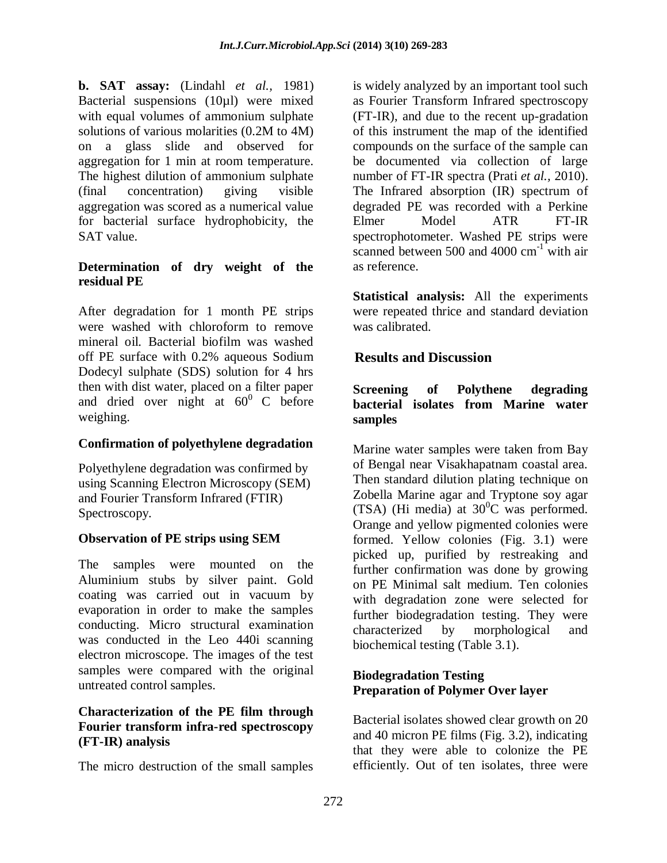**b. SAT assay:** (Lindahl *et al.,* 1981) Bacterial suspensions (10µl) were mixed with equal volumes of ammonium sulphate solutions of various molarities (0.2M to 4M) on a glass slide and observed for aggregation for 1 min at room temperature. The highest dilution of ammonium sulphate (final concentration) giving visible aggregation was scored as a numerical value for bacterial surface hydrophobicity, the SAT value.

### **Determination of dry weight of the residual PE**

After degradation for 1 month PE strips were washed with chloroform to remove mineral oil. Bacterial biofilm was washed off PE surface with 0.2% aqueous Sodium Dodecyl sulphate (SDS) solution for 4 hrs then with dist water, placed on a filter paper and dried over night at  $60^{\circ}$  C before weighing.

## **Confirmation of polyethylene degradation**

Polyethylene degradation was confirmed by using Scanning Electron Microscopy (SEM) and Fourier Transform Infrared (FTIR) Spectroscopy.

## **Observation of PE strips using SEM**

The samples were mounted on the Aluminium stubs by silver paint. Gold coating was carried out in vacuum by evaporation in order to make the samples conducting. Micro structural examination was conducted in the Leo 440i scanning electron microscope. The images of the test samples were compared with the original untreated control samples.

#### **Characterization of the PE film through Fourier transform infra-red spectroscopy (FT-IR) analysis**

The micro destruction of the small samples

is widely analyzed by an important tool such as Fourier Transform Infrared spectroscopy (FT-IR), and due to the recent up-gradation of this instrument the map of the identified compounds on the surface of the sample can be documented via collection of large number of FT-IR spectra (Prati *et al.,* 2010). The Infrared absorption (IR) spectrum of degraded PE was recorded with a Perkine Elmer Model ATR FT-IR spectrophotometer. Washed PE strips were scanned between 500 and 4000  $cm^{-1}$  with air as reference.

**Statistical analysis:** All the experiments were repeated thrice and standard deviation was calibrated.

## **Results and Discussion**

#### **Screening of Polythene degrading bacterial isolates from Marine water samples**

Marine water samples were taken from Bay of Bengal near Visakhapatnam coastal area. Then standard dilution plating technique on Zobella Marine agar and Tryptone soy agar (TSA) (Hi media) at  $30^{\circ}$ C was performed. Orange and yellow pigmented colonies were formed. Yellow colonies (Fig. 3.1) were picked up, purified by restreaking and further confirmation was done by growing on PE Minimal salt medium. Ten colonies with degradation zone were selected for further biodegradation testing. They were characterized by morphological and biochemical testing (Table 3.1).

#### **Biodegradation Testing Preparation of Polymer Over layer**

Bacterial isolates showed clear growth on 20 and 40 micron PE films (Fig. 3.2), indicating that they were able to colonize the PE efficiently. Out of ten isolates, three were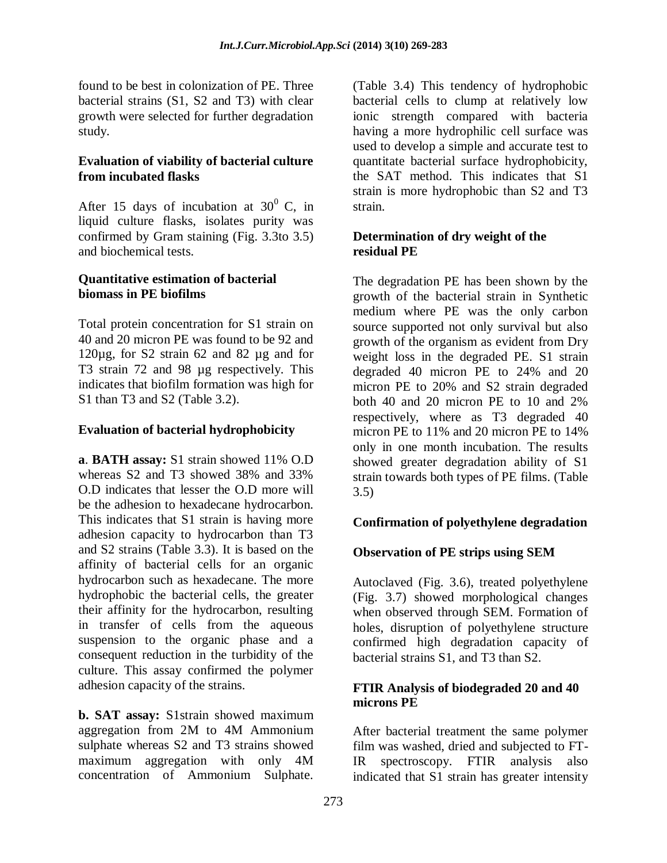found to be best in colonization of PE. Three bacterial strains (S1, S2 and T3) with clear growth were selected for further degradation study.

#### **Evaluation of viability of bacterial culture from incubated flasks**

After 15 days of incubation at  $30^0$  C, in liquid culture flasks, isolates purity was confirmed by Gram staining (Fig. 3.3to 3.5) and biochemical tests.

#### **Quantitative estimation of bacterial biomass in PE biofilms**

Total protein concentration for S1 strain on 40 and 20 micron PE was found to be 92 and 120µg, for S2 strain 62 and 82 µg and for T3 strain 72 and 98  $\mu$ g respectively. This indicates that biofilm formation was high for S1 than T3 and S2 (Table 3.2).

## **Evaluation of bacterial hydrophobicity**

**a**. **BATH assay:** S1 strain showed 11% O.D whereas S2 and T3 showed 38% and 33% O.D indicates that lesser the O.D more will be the adhesion to hexadecane hydrocarbon. This indicates that S1 strain is having more adhesion capacity to hydrocarbon than T3 and S2 strains (Table 3.3). It is based on the affinity of bacterial cells for an organic hydrocarbon such as hexadecane. The more hydrophobic the bacterial cells, the greater their affinity for the hydrocarbon, resulting in transfer of cells from the aqueous suspension to the organic phase and a consequent reduction in the turbidity of the culture. This assay confirmed the polymer adhesion capacity of the strains.

**b. SAT assay:** S1strain showed maximum aggregation from 2M to 4M Ammonium sulphate whereas S2 and T3 strains showed maximum aggregation with only 4M concentration of Ammonium Sulphate.

(Table 3.4) This tendency of hydrophobic bacterial cells to clump at relatively low ionic strength compared with bacteria having a more hydrophilic cell surface was used to develop a simple and accurate test to quantitate bacterial surface hydrophobicity, the SAT method. This indicates that S1 strain is more hydrophobic than S2 and T3 strain.

#### **Determination of dry weight of the residual PE**

The degradation PE has been shown by the growth of the bacterial strain in Synthetic medium where PE was the only carbon source supported not only survival but also growth of the organism as evident from Dry weight loss in the degraded PE. S1 strain degraded 40 micron PE to 24% and 20 micron PE to 20% and S2 strain degraded both 40 and 20 micron PE to 10 and 2% respectively, where as T3 degraded 40 micron PE to 11% and 20 micron PE to 14% only in one month incubation. The results showed greater degradation ability of S1 strain towards both types of PE films. (Table 3.5)

## **Confirmation of polyethylene degradation**

## **Observation of PE strips using SEM**

Autoclaved (Fig. 3.6), treated polyethylene (Fig. 3.7) showed morphological changes when observed through SEM. Formation of holes, disruption of polyethylene structure confirmed high degradation capacity of bacterial strains S1, and T3 than S2.

#### **FTIR Analysis of biodegraded 20 and 40 microns PE**

After bacterial treatment the same polymer film was washed, dried and subjected to FT-IR spectroscopy. FTIR analysis also indicated that S1 strain has greater intensity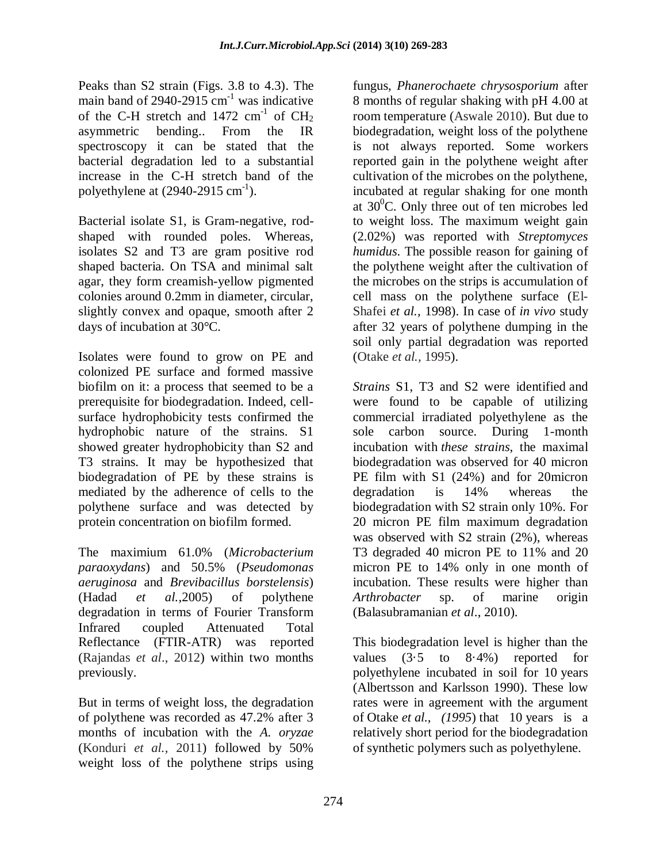Peaks than S2 strain (Figs. 3.8 to 4.3). The main band of 2940-2915  $cm<sup>-1</sup>$  was indicative of the C-H stretch and  $1472 \text{ cm}^{-1}$  of  $\text{CH}_2$ asymmetric bending.. From the IR spectroscopy it can be stated that the bacterial degradation led to a substantial increase in the C-H stretch band of the polyethylene at  $(2940-2915 \text{ cm}^{-1})$ .

Bacterial isolate S1, is Gram-negative, rodshaped with rounded poles. Whereas, isolates S2 and T3 are gram positive rod shaped bacteria. On TSA and minimal salt agar, they form creamish-yellow pigmented colonies around 0.2mm in diameter, circular, slightly convex and opaque, smooth after 2 days of incubation at 30°C.

Isolates were found to grow on PE and colonized PE surface and formed massive biofilm on it: a process that seemed to be a prerequisite for biodegradation. Indeed, cellsurface hydrophobicity tests confirmed the hydrophobic nature of the strains. S1 showed greater hydrophobicity than S2 and T3 strains. It may be hypothesized that biodegradation of PE by these strains is mediated by the adherence of cells to the polythene surface and was detected by protein concentration on biofilm formed.

The maximium 61.0% (*Microbacterium paraoxydans*) and 50.5% (*Pseudomonas aeruginosa* and *Brevibacillus borstelensis*) (Hadad *et al.,*2005) of polythene degradation in terms of Fourier Transform Infrared coupled Attenuated Total Reflectance (FTIR-ATR) was reported (Rajandas *et al*., 2012) within two months previously.

But in terms of weight loss, the degradation of polythene was recorded as 47.2% after 3 months of incubation with the *A. oryzae* (Konduri *et al.,* 2011) followed by 50% weight loss of the polythene strips using

fungus, *Phanerochaete chrysosporium* after 8 months of regular shaking with pH 4.00 at room temperature (Aswale 2010). But due to biodegradation, weight loss of the polythene is not always reported. Some workers reported gain in the polythene weight after cultivation of the microbes on the polythene, incubated at regular shaking for one month at  $30^{\circ}$ C. Only three out of ten microbes led to weight loss. The maximum weight gain (2.02%) was reported with *Streptomyces humidus*. The possible reason for gaining of the polythene weight after the cultivation of the microbes on the strips is accumulation of cell mass on the polythene surface (El-Shafei *et al.,* 1998). In case of *in vivo* study after 32 years of polythene dumping in the soil only partial degradation was reported (Otake *et al.,* 1995).

*Strains* S1, T3 and S2 were identified and were found to be capable of utilizing commercial irradiated polyethylene as the sole carbon source. During 1-month incubation with *these strains*, the maximal biodegradation was observed for 40 micron PE film with S1 (24%) and for 20micron degradation is 14% whereas the biodegradation with S2 strain only 10%. For 20 micron PE film maximum degradation was observed with S2 strain (2%), whereas T3 degraded 40 micron PE to 11% and 20 micron PE to 14% only in one month of incubation. These results were higher than *Arthrobacter* sp. of marine origin (Balasubramanian *et al*., 2010).

This biodegradation level is higher than the values (3·5 to 8·4%) reported for polyethylene incubated in soil for 10 years [\(Albertsson](http://onlinelibrary.wiley.com/doi/10.1111/j.1365-2672.2005.02553.x/full#b3) and Karlsson 1990). These low rates were in agreement with the argument of [Otake](http://onlinelibrary.wiley.com/doi/10.1111/j.1365-2672.2005.02553.x/full#b18) *et al., (1995*) that 10 years is a relatively short period for the biodegradation of synthetic polymers such as polyethylene.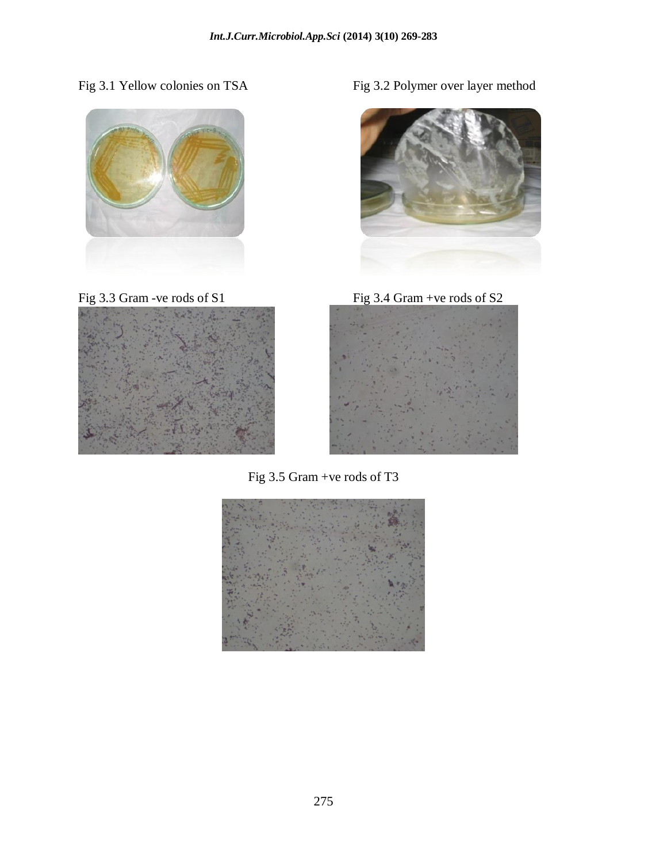



Fig 3.1 Yellow colonies on TSA Fig 3.2 Polymer over layer method



Fig 3.3 Gram -ve rods of S1 Fig 3.4 Gram +ve rods of S2



Fig 3.5 Gram +ve rods of T3

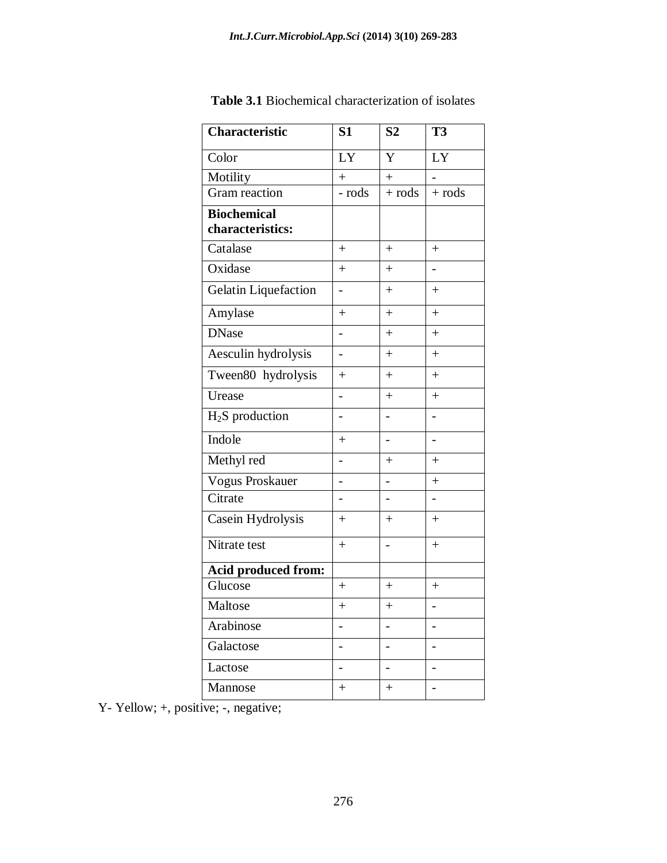| <b>Characteristic</b>                  | S <sub>1</sub>           | S <sub>2</sub> | <b>T3</b>                |
|----------------------------------------|--------------------------|----------------|--------------------------|
| Color                                  | LY                       | Y              | LY                       |
| Motility                               | $+$                      | $^{+}$         |                          |
| Gram reaction                          | - rods                   | $+$ rods       | $+$ rods                 |
| <b>Biochemical</b><br>characteristics: |                          |                |                          |
| Catalase                               | $+$                      | $^{+}$         | $+$                      |
| Oxidase                                | $+$                      | $+$            | -                        |
| <b>Gelatin Liquefaction</b>            | $\overline{\phantom{0}}$ | $^{+}$         | $+$                      |
| Amylase                                | $+$                      | $+$            | $+$                      |
| <b>DNase</b>                           | -                        | $+$            | $+$                      |
| Aesculin hydrolysis                    | $\overline{\phantom{0}}$ | $+$            | $+$                      |
| Tween80 hydrolysis                     | $^{+}$                   | $+$            | $+$                      |
| Urease                                 | $\overline{a}$           | $+$            | $+$                      |
| $H2S$ production                       |                          |                |                          |
| Indole                                 | $+$                      | -              | -                        |
| Methyl red                             | $\overline{a}$           | $^{+}$         | $+$                      |
| Vogus Proskauer                        |                          |                | $^{+}$                   |
| Citrate                                | -                        | -              | $\overline{\phantom{0}}$ |
| Casein Hydrolysis                      | $+$                      | $^{+}$         | $+$                      |
| Nitrate test                           | $+$                      |                | $+$                      |
| Acid produced from:                    |                          |                |                          |
| Glucose                                | $\ddot{}$                | $^{+}$         | $^{+}$                   |
| Maltose                                | $\ddot{}$                | $^{+}$         |                          |
| Arabinose                              |                          |                |                          |
| Galactose                              |                          |                |                          |
| Lactose                                |                          |                |                          |
| Mannose                                | $^{+}$                   | $^{+}$         |                          |

**Table 3.1** Biochemical characterization of isolates

Y- Yellow; +, positive; -, negative;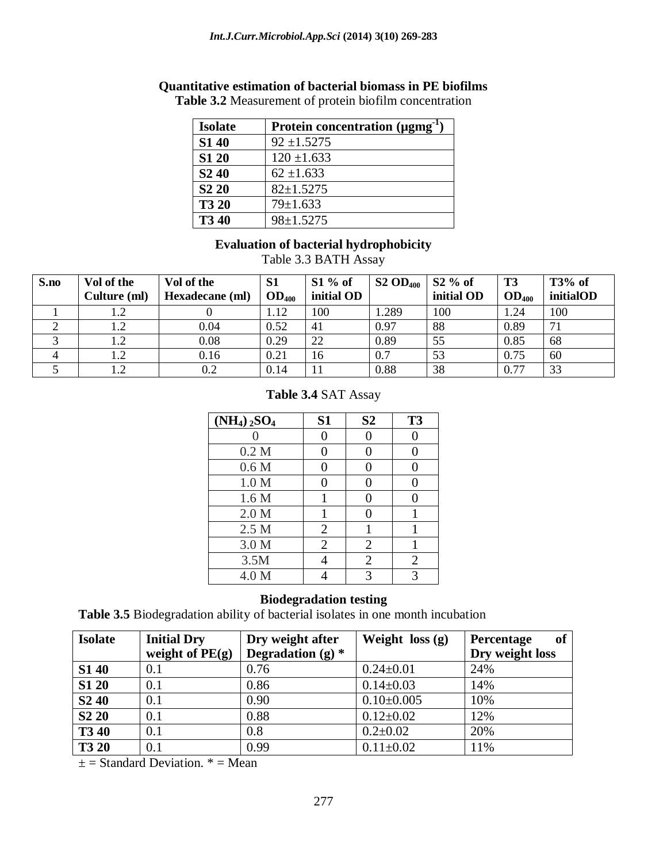# **Quantitative estimation of bacterial biomass in PE biofilms**

| <b>Isolate</b>                | Protein concentration $(\mu\text{gmg}^{-1})$ |
|-------------------------------|----------------------------------------------|
| <b>S140</b>                   | $92 \pm 1.5275$                              |
| <b>S1 20</b>                  | $120 \pm 1.633$                              |
| S <sub>2</sub> 4 <sub>0</sub> | $62 \pm 1.633$                               |
| S <sub>2</sub> 2 <sub>0</sub> | $82 \pm 1.5275$                              |
| <b>T3 20</b>                  | $79 \pm 1.633$                               |
| <b>T340</b>                   | $98 \pm 1.5275$                              |

**Table 3.2** Measurement of protein biofilm concentration

#### **Evaluation of bacterial hydrophobicity**

Table 3.3 BATH Assay

| S.no | Vol of the   | Vol of the      | S <sub>1</sub>    | $S1\%$ of  | $S2 OD_{400}$ | $\vert$ S2 % of | T <sub>3</sub>    | $T3%$ of  |
|------|--------------|-----------------|-------------------|------------|---------------|-----------------|-------------------|-----------|
|      | Culture (ml) | Hexadecane (ml) | OD <sub>400</sub> | initial OD |               | initial OD      | OD <sub>400</sub> | initialOD |
|      |              |                 | 1.12              | 100        | .289          | 100             | 1.24              | 100       |
|      | 1.2          | 0.04            | 0.52              | 41         | 0.97          | 88              | 0.89              | 71        |
|      | 1.2          | 0.08            | 0.29              | 22         | 0.89          | 55              | 0.85              | 68        |
|      | 1.2          | 0.16            | 0.21              | 16         | 0.7           | 53              | 0.75              | 60        |
|      | 1.2          | 0.2             | 0.14              |            | 0.88          | 38              | 0.77              | 33        |

#### **Table 3.4** SAT Assay

| $(NH_4)$ <sub>2</sub> SO <sub>4</sub> | <b>S1</b>      | S <sub>2</sub>    | T <sub>3</sub> |
|---------------------------------------|----------------|-------------------|----------------|
|                                       | 0              | 0                 | 0              |
| 0.2 <sub>M</sub>                      | 0              | 0                 | 0              |
| 0.6 <sub>M</sub>                      | 0              | 0                 | 0              |
| 1.0 M                                 | 0              | $\theta$          | 0              |
| 1.6 <sub>M</sub>                      |                | 0                 | 0              |
| 2.0 M                                 | 1              | $\mathbf{\Omega}$ |                |
| 2.5 M                                 | $\overline{2}$ |                   | 1              |
| 3.0 M                                 | $\overline{2}$ | $\overline{2}$    | 1              |
| 3.5M                                  |                | $\overline{2}$    | $\overline{2}$ |
| 4.0 M                                 |                | 3                 | 3              |

#### **Biodegradation testing**

**Table 3.5** Biodegradation ability of bacterial isolates in one month incubation

| <b>Isolate</b>                | <b>Initial Dry</b> | Dry weight after    | Weight $loss(g)$ | of<br><b>Percentage</b> |
|-------------------------------|--------------------|---------------------|------------------|-------------------------|
|                               | weight of $PE(g)$  | Degradation (g) $*$ |                  | Dry weight loss         |
| <b>S140</b>                   | 0.1                | 0.76                | $0.24 \pm 0.01$  | 24%                     |
| <b>S1 20</b>                  | 0.1                | 0.86                | $0.14 \pm 0.03$  | 14%                     |
| S <sub>2</sub> 4 <sub>0</sub> | 0.1                | 0.90                | $0.10\pm0.005$   | 10%                     |
| S <sub>2</sub> 2 <sub>0</sub> | 0.1                | 0.88                | $0.12 \pm 0.02$  | 12%                     |
| <b>T3 40</b>                  | 0.1                | 0.8                 | $0.2 \pm 0.02$   | 20%                     |
| <b>T3 20</b>                  | 0.1                | 0.99                | $0.11 \pm 0.02$  | 11%                     |

 $\pm$  = Standard Deviation.  $*$  = Mean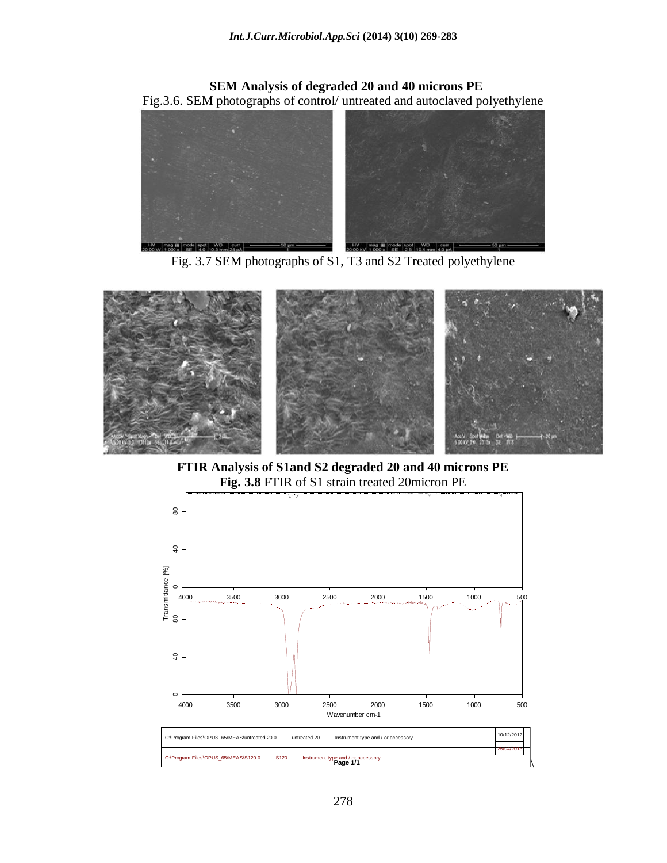### **SEM Analysis of degraded 20 and 40 microns PE** Fig.3.6. SEM photographs of control/ untreated and autoclaved polyethylene



Fig. 3.7 SEM photographs of S1, T3 and S2 Treated polyethylene



**FTIR Analysis of S1and S2 degraded 20 and 40 microns PE Fig. 3.8** FTIR of S1 strain treated 20micron PE

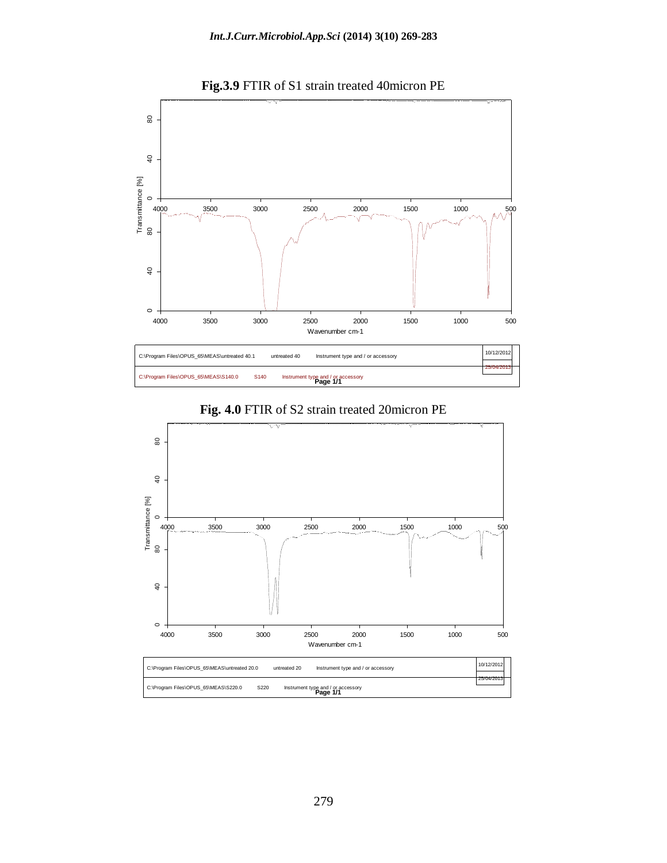





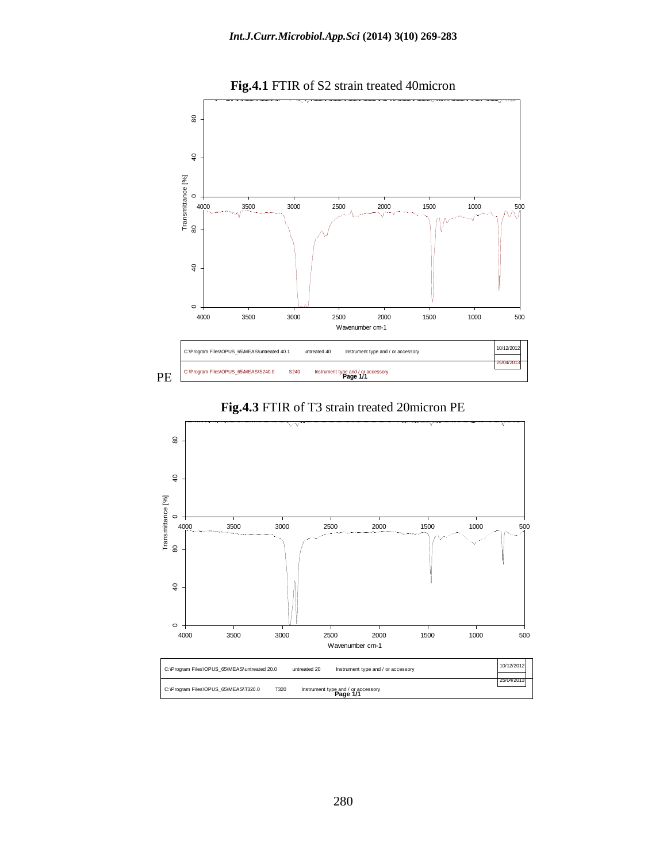

**Fig.4.1** FTIR of S2 strain treated 40micron



#### **Fig.4.3** FTIR of T3 strain treated 20micron PE

C:\Program Files\OPUS\_65\MEAS\T320.0 T320 25/04/2013 **Instrument type and / or accessory**<br>**Page 1/1**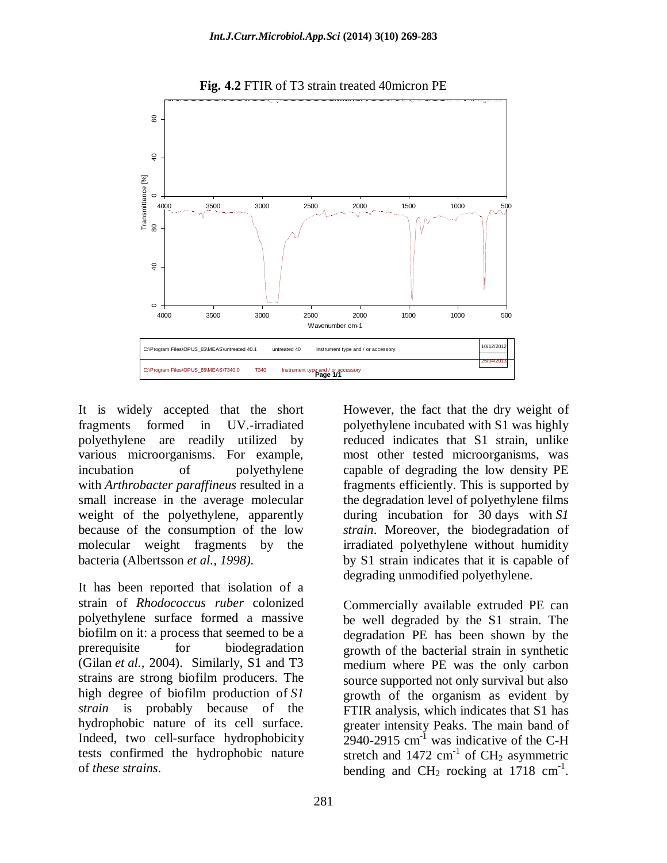

**Fig. 4.2** FTIR of T3 strain treated 40micron PE

It is widely accepted that the short fragments formed in UV.-irradiated polyethylene are readily utilized by various microorganisms. For example, incubation of polyethylene with *Arthrobacter paraffineus* resulted in a small increase in the average molecular weight of the polyethylene, apparently because of the consumption of the low molecular weight fragments by the bacteria [\(Albertsson](http://onlinelibrary.wiley.com/doi/10.1111/j.1365-2672.2005.02553.x/full#b6) *et al., 1998).*

It has been reported that isolation of a strain of *Rhodococcus ruber* colonized polyethylene surface formed a massive biofilm on it: a process that seemed to be a prerequisite for biodegradation [\(Gilan](http://onlinelibrary.wiley.com/doi/10.1111/j.1365-2672.2005.02553.x/full#b12) *et al.,* 2004). Similarly, S1 and T3 strains are strong biofilm producers. The high degree of biofilm production of *S1 strain* is probably because of the hydrophobic nature of its cell surface. Indeed, two cell-surface hydrophobicity tests confirmed the hydrophobic nature of *these strains*.

However, the fact that the dry weight of polyethylene incubated with S1 was highly reduced indicates that S1 strain, unlike most other tested microorganisms, was capable of degrading the low density PE fragments efficiently. This is supported by the degradation level of polyethylene films during incubation for 30 days with *S1 strain*. Moreover, the biodegradation of irradiated polyethylene without humidity by S1 strain indicates that it is capable of degrading unmodified polyethylene.

Commercially available extruded PE can be well degraded by the S1 strain. The degradation PE has been shown by the growth of the bacterial strain in synthetic medium where PE was the only carbon source supported not only survival but also growth of the organism as evident by FTIR analysis, which indicates that S1 has greater intensity Peaks. The main band of  $2940-2915$  cm<sup>-1</sup> was indicative of the C-H stretch and  $1472 \text{ cm}^{-1}$  of CH<sub>2</sub> asymmetric bending and  $CH_2$  rocking at 1718 cm<sup>-1</sup>.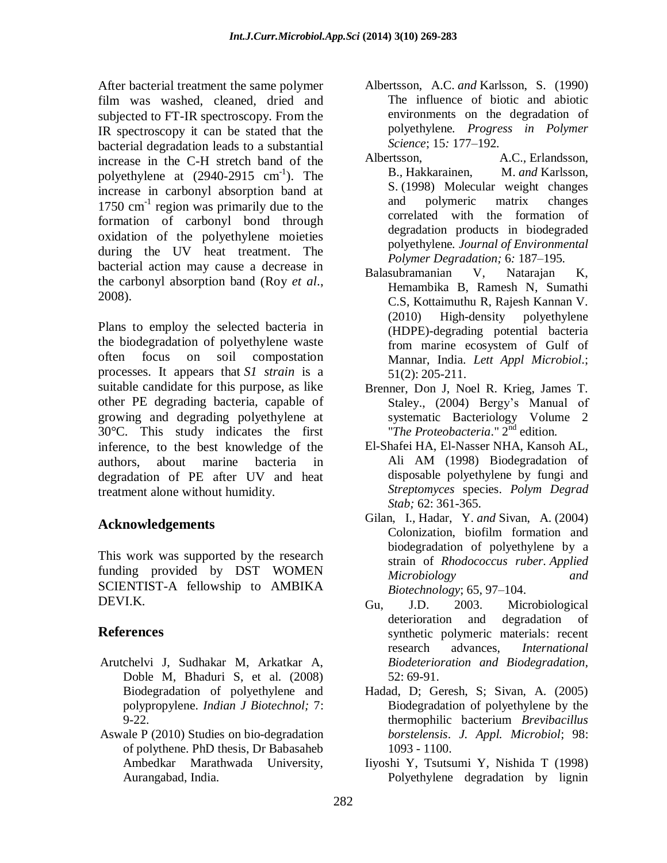After bacterial treatment the same polymer film was washed, cleaned, dried and subjected to FT-IR spectroscopy. From the IR spectroscopy it can be stated that the bacterial degradation leads to a substantial increase in the C-H stretch band of the polyethylene at  $(2940-2915 \text{ cm}^{-1})$ . The increase in carbonyl absorption band at 1750 cm<sup>-1</sup> region was primarily due to the formation of carbonyl bond through oxidation of the polyethylene moieties during the UV heat treatment. The bacterial action may cause a decrease in the carbonyl absorption band (Roy *et al*., 2008).

Plans to employ the selected bacteria in the biodegradation of polyethylene waste often focus on soil compostation processes. It appears that *S1 strain* is a suitable candidate for this purpose, as like other PE degrading bacteria, capable of growing and degrading polyethylene at 30°C. This study indicates the first inference, to the best knowledge of the authors, about marine bacteria in degradation of PE after UV and heat treatment alone without humidity.

## **Acknowledgements**

This work was supported by the research funding provided by DST WOMEN SCIENTIST-A fellowship to AMBIKA DEVI.K.

## **References**

- Arutchelvi J, Sudhakar M, Arkatkar A, Doble M, Bhaduri S, et al. (2008) Biodegradation of polyethylene and polypropylene. *Indian J Biotechnol;* 7: 9-22.
- Aswale P (2010) Studies on bio-degradation of polythene. PhD thesis, Dr Babasaheb Ambedkar Marathwada University, Aurangabad, India.
- Albertsson, A.C. *and* Karlsson, S. (1990) The influence of biotic and abiotic environments on the degradation of polyethylene*. Progress in Polymer Science*; 15*:* 177*–*192*.*
- Albertsson, A.C.*,* Erlandsson, B.*,* Hakkarainen, M. *and* Karlsson, S. (1998) Molecular weight changes and polymeric matrix changes correlated with the formation of degradation products in biodegraded polyethylene*. Journal of Environmental Polymer Degradation;* 6*:* 187*–*195*.*
- Balasubramanian V, Natarajan K, Hemambika B, Ramesh N, Sumathi C.S, Kottaimuthu R, Rajesh Kannan V. (2010) High-density polyethylene (HDPE)-degrading potential bacteria from marine ecosystem of Gulf of Mannar, India. *Lett Appl Microbiol*.; 51(2): 205-211.
- Brenner, Don J, Noel R. Krieg, James T. Staley., (2004) Bergy's Manual of systematic Bacteriology Volume 2 "The Proteobacteria." 2<sup>nd</sup> edition.
- El-Shafei HA, El-Nasser NHA, Kansoh AL, Ali AM (1998) Biodegradation of disposable polyethylene by fungi and *Streptomyces* species. *Polym Degrad Stab;* 62: 361-365.
- Gilan, I.*,* Hadar, Y. *and* Sivan, A. (2004) Colonization, biofilm formation and biodegradation of polyethylene by a strain of *Rhodococcus ruber. Applied Microbiology and Biotechnology*; 65*,* 97*–*104.
- Gu, J.D. 2003. Microbiological deterioration and degradation of synthetic polymeric materials: recent research advances, *International Biodeterioration and Biodegradation,*  52: 69-91.
- Hadad, D; Geresh, S; Sivan, A. (2005) Biodegradation of polyethylene by the thermophilic bacterium *Brevibacillus borstelensis*. *J. Appl. Microbiol*; 98: 1093 - 1100.
- Iiyoshi Y, Tsutsumi Y, Nishida T (1998) Polyethylene degradation by lignin